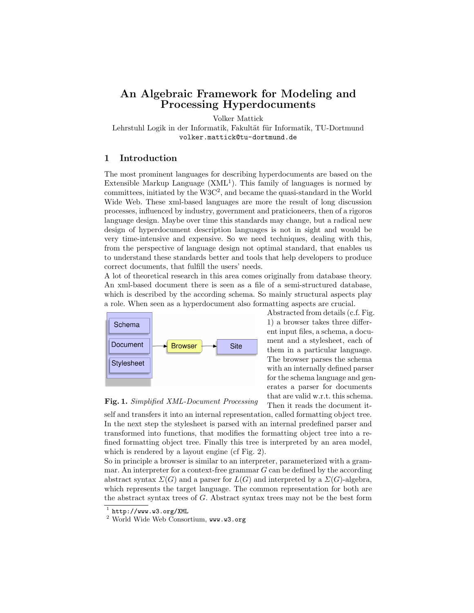# An Algebraic Framework for Modeling and Processing Hyperdocuments

Volker Mattick

Lehrstuhl Logik in der Informatik, Fakultät für Informatik, TU-Dortmund volker.mattick@tu-dortmund.de

#### 1 Introduction

The most prominent languages for describing hyperdocuments are based on the Extensible Markup Language  $(XML<sup>1</sup>)$ . This family of languages is normed by  $commities, initiated by the W3C<sup>2</sup>, and became the quasi-standard in the World$ Wide Web. These xml-based languages are more the result of long discussion processes, influenced by industry, government and praticioneers, then of a rigoros language design. Maybe over time this standards may change, but a radical new design of hyperdocument description languages is not in sight and would be very time-intensive and expensive. So we need techniques, dealing with this, from the perspective of language design not optimal standard, that enables us to understand these standards better and tools that help developers to produce correct documents, that fulfill the users' needs.

A lot of theoretical research in this area comes originally from database theory. An xml-based document there is seen as a file of a semi-structured database, which is described by the according schema. So mainly structural aspects play a role. When seen as a hyperdocument also formatting aspects are crucial.



Abstracted from details (c.f. Fig. 1) a browser takes three different input files, a schema, a document and a stylesheet, each of them in a particular language. The browser parses the schema with an internally defined parser for the schema language and generates a parser for documents that are valid w.r.t. this schema. Then it reads the document it-



self and transfers it into an internal representation, called formatting object tree. In the next step the stylesheet is parsed with an internal predefined parser and transformed into functions, that modifies the formatting object tree into a refined formatting object tree. Finally this tree is interpreted by an area model, which is rendered by a layout engine (cf Fig. 2).

So in principle a browser is similar to an interpreter, parameterized with a grammar. An interpreter for a context-free grammar  $G$  can be defined by the according abstract syntax  $\Sigma(G)$  and a parser for  $L(G)$  and interpreted by a  $\Sigma(G)$ -algebra, which represents the target language. The common representation for both are the abstract syntax trees of G. Abstract syntax trees may not be the best form

 $<sup>1</sup>$  http://www.w3.org/XML</sup>

<sup>2</sup> World Wide Web Consortium, www.w3.org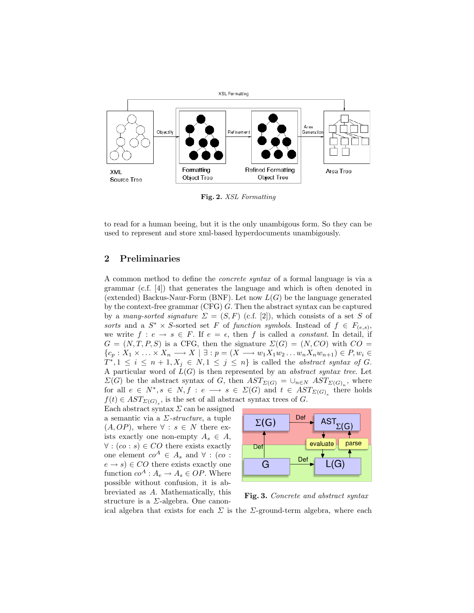

Fig. 2. XSL Formatting

to read for a human beeing, but it is the only unambigous form. So they can be used to represent and store xml-based hyperdocuments unambigously.

#### 2 Preliminaries

A common method to define the concrete syntax of a formal language is via a grammar (c.f. [4]) that generates the language and which is often denoted in (extended) Backus-Naur-Form (BNF). Let now  $L(G)$  be the language generated by the context-free grammar (CFG) G. Then the abstract syntax can be captured by a many-sorted signature  $\Sigma = (S, F)$  (c.f. [2]), which consists of a set S of sorts and a  $S^* \times S$ -sorted set F of function symbols. Instead of  $f \in F_{(e,s)}$ , we write  $f : e \to s \in F$ . If  $e = \epsilon$ , then f is called a *constant*. In detail, if  $G = (N, T, P, S)$  is a CFG, then the signature  $\Sigma(G) = (N, CO)$  with  $CO =$  ${c_p : X_1 \times \ldots \times X_n \longrightarrow X \mid \exists : p = (X \longrightarrow w_1X_1w_2\ldots w_nX_nw_{n+1}) \in P, w_i \in$  $T^*, 1 \leq i \leq n+1, X_j \in N, 1 \leq j \leq n$  is called the abstract syntax of G. A particular word of  $L(G)$  is then represented by an *abstract syntax tree*. Let  $\Sigma(G)$  be the abstract syntax of G, then  $AST_{\Sigma(G)} = \cup_{n \in N} AST_{\Sigma(G)<sub>n</sub>}$ , where for all  $e \in N^*, s \in N, f : e \longrightarrow s \in \Sigma(G)$  and  $t \in AST_{\Sigma(G)_e}$  there holds  $f(t) \in AST_{\Sigma(G)_s}$ , is the set of all abstract syntax trees of G.

Each abstract syntax  $\Sigma$  can be assigned a semantic via a  $\Sigma\text{-}structure$ , a tuple  $(A, OP)$ , where  $\forall : s \in N$  there exists exactly one non-empty  $A_s \in A$ ,  $\forall$  :  $(co : s) \in CO$  there exists exactly one element  $co^A \in A_s$  and  $\forall$  : (co :  $(e \rightarrow s) \in CO$  there exists exactly one function  $co^A: A_e \to A_s \in OP$ . Where possible without confusion, it is abbreviated as A. Mathematically, this structure is a  $\Sigma$ -algebra. One canon-



Fig. 3. Concrete and abstract syntax ical algebra that exists for each  $\Sigma$  is the  $\Sigma$ -ground-term algebra, where each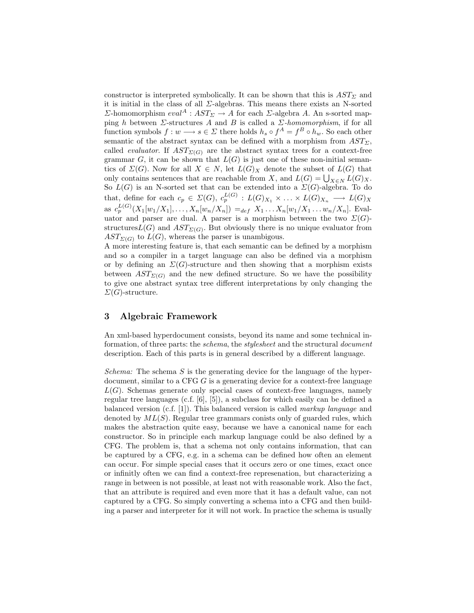constructor is interpreted symbolically. It can be shown that this is  $AST_{\Sigma}$  and it is initial in the class of all  $\Sigma$ -algebras. This means there exists an N-sorted  $\Sigma$ -homomorphism  $eval^A:AST_\Sigma \to A$  for each  $\Sigma$ -algebra A. An s-sorted mapping h between  $\Sigma$ -structures A and B is called a  $\Sigma$ -homomorphism, if for all function symbols  $f: w \longrightarrow s \in \Sigma$  there holds  $h_s \circ f^A = f^B \circ h_w$ . So each other semantic of the abstract syntax can be defined with a morphism from  $AST_{\Sigma}$ , called *evaluator*. If  $AST_{\Sigma(G)}$  are the abstract syntax trees for a context-free grammar  $G$ , it can be shown that  $L(G)$  is just one of these non-initial semantics of  $\Sigma(G)$ . Now for all  $X \in N$ , let  $L(G)_X$  denote the subset of  $L(G)$  that only contains sentences that are reachable from X, and  $L(G) = \bigcup_{X \in N} L(G)_X$ . So  $L(G)$  is an N-sorted set that can be extended into a  $\Sigma(G)$ -algebra. To do that, define for each  $c_p \in \Sigma(G)$ ,  $c_p^{L(G)}$  :  $L(G)_{X_1} \times \ldots \times L(G)_{X_n} \longrightarrow L(G)_X$ as  $c_p^{L(G)}(X_1[w_1/X_1], \ldots, X_n[w_n/X_n]) =_{def} X_1 \ldots X_n[w_1/X_1 \ldots w_n/X_n]$ . Evaluator and parser are dual. A parser is a morphism between the two  $\Sigma(G)$ structures $L(G)$  and  $AST_{\Sigma(G)}$ . But obviously there is no unique evaluator from  $AST_{\Sigma(G)}$  to  $L(G)$ , whereas the parser is unambigous.

A more interesting feature is, that each semantic can be defined by a morphism and so a compiler in a target language can also be defined via a morphism or by defining an  $\Sigma(G)$ -structure and then showing that a morphism exists between  $AST_{\Sigma(G)}$  and the new defined structure. So we have the possibility to give one abstract syntax tree different interpretations by only changing the  $\Sigma(G)$ -structure.

### 3 Algebraic Framework

An xml-based hyperdocument consists, beyond its name and some technical information, of three parts: the *schema*, the *stylesheet* and the structural *document* description. Each of this parts is in general described by a different language.

Schema: The schema  $S$  is the generating device for the language of the hyperdocument, similar to a CFG G is a generating device for a context-free language  $L(G)$ . Schemas generate only special cases of context-free languages, namely regular tree languages (c.f. [6], [5]), a subclass for which easily can be defined a balanced version (c.f. [1]). This balanced version is called markup language and denoted by  $ML(S)$ . Regular tree grammars conists only of guarded rules, which makes the abstraction quite easy, because we have a canonical name for each constructor. So in principle each markup language could be also defined by a CFG. The problem is, that a schema not only contains information, that can be captured by a CFG, e.g. in a schema can be defined how often an element can occur. For simple special cases that it occurs zero or one times, exact once or infinitly often we can find a context-free represenation, but characterizing a range in between is not possible, at least not with reasonable work. Also the fact, that an attribute is required and even more that it has a default value, can not captured by a CFG. So simply converting a schema into a CFG and then building a parser and interpreter for it will not work. In practice the schema is usually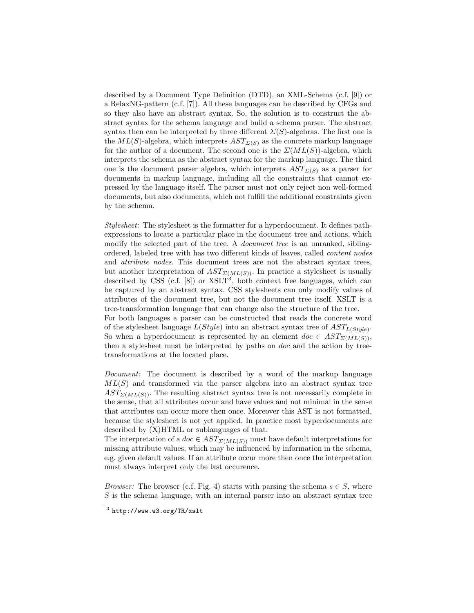described by a Document Type Definition (DTD), an XML-Schema (c.f. [9]) or a RelaxNG-pattern (c.f. [7]). All these languages can be described by CFGs and so they also have an abstract syntax. So, the solution is to construct the abstract syntax for the schema language and build a schema parser. The abstract syntax then can be interpreted by three different  $\Sigma(S)$ -algebras. The first one is the  $ML(S)$ -algebra, which interprets  $AST_{\Sigma(S)}$  as the concrete markup language for the author of a document. The second one is the  $\Sigma(ML(S))$ -algebra, which interprets the schema as the abstract syntax for the markup language. The third one is the document parser algebra, which interprets  $AST_{\Sigma(S)}$  as a parser for documents in markup language, including all the constraints that cannot expressed by the language itself. The parser must not only reject non well-formed documents, but also documents, which not fulfill the additional constraints given by the schema.

Stylesheet: The stylesheet is the formatter for a hyperdocument. It defines pathexpressions to locate a particular place in the document tree and actions, which modify the selected part of the tree. A *document tree* is an unranked, siblingordered, labeled tree with has two different kinds of leaves, called content nodes and attribute nodes. This document trees are not the abstract syntax trees, but another interpretation of  $AST_{\Sigma(ML(S))}$ . In practice a stylesheet is usually described by CSS  $(c.f. [8])$  or  $XSLT<sup>3</sup>$ , both context free languages, which can be captured by an abstract syntax. CSS stylesheets can only modify values of attributes of the document tree, but not the document tree itself. XSLT is a tree-transformation language that can change also the structure of the tree. For both languages a parser can be constructed that reads the concrete word of the stylesheet language  $L(Style)$  into an abstract syntax tree of  $AST_{L(Style)}$ . So when a hyperdocument is represented by an element  $doc \in AST_{\Sigma(ML(S))}$ ,

Document: The document is described by a word of the markup language  $ML(S)$  and transformed via the parser algebra into an abstract syntax tree  $AST_{\Sigma(ML(S))}$ . The resulting abstract syntax tree is not necessarily complete in the sense, that all attributes occur and have values and not minimal in the sense that attributes can occur more then once. Moreover this AST is not formatted, because the stylesheet is not yet applied. In practice most hyperdocuments are described by (X)HTML or sublanguages of that.

then a stylesheet must be interpreted by paths on doc and the action by tree-

The interpretation of a  $doc \in AST_{\Sigma(MLS)}$  must have default interpretations for missing attribute values, which may be influenced by information in the schema, e.g. given default values. If an attribute occur more then once the interpretation must always interpret only the last occurence.

*Browser:* The browser (c.f. Fig. 4) starts with parsing the schema  $s \in S$ , where S is the schema language, with an internal parser into an abstract syntax tree

transformations at the located place.

 $3$  http://www.w3.org/TR/xslt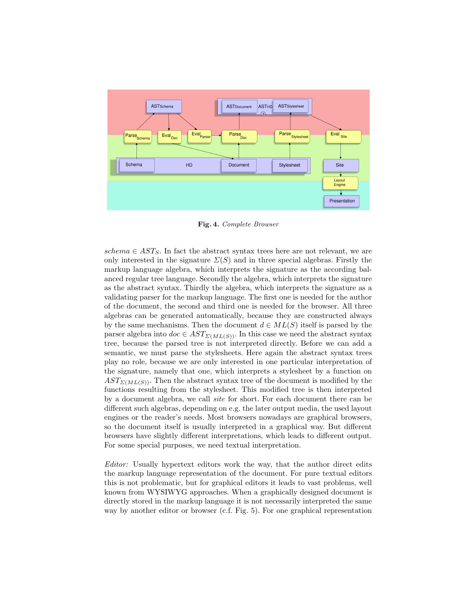

Fig. 4. Complete Browser

schema  $\in AST_S$ . In fact the abstract syntax trees here are not relevant, we are only interested in the signature  $\Sigma(S)$  and in three special algebras. Firstly the markup language algebra, which interprets the signature as the according balanced regular tree language. Secondly the algebra, which interprets the signature as the abstract syntax. Thirdly the algebra, which interprets the signature as a validating parser for the markup language. The first one is needed for the author of the document, the second and third one is needed for the browser. All three algebras can be generated automatically, because they are constructed always by the same mechanisms. Then the document  $d \in ML(S)$  itself is parsed by the parser algebra into  $doc \in AST_{\Sigma(ML(S))}$ . In this case we need the abstract syntax tree, because the parsed tree is not interpreted directly. Before we can add a semantic, we must parse the stylesheets. Here again the abstract syntax trees play no role, because we are only interested in one particular interpretation of the signature, namely that one, which interprets a stylesheet by a function on  $AST_{\Sigma(ML(S))}$ . Then the abstract syntax tree of the document is modified by the functions resulting from the stylesheet. This modified tree is then interpreted by a document algebra, we call site for short. For each document there can be different such algebras, depending on e.g. the later output media, the used layout engines or the reader's needs. Most browsers nowadays are graphical browsers, so the document itself is usually interpreted in a graphical way. But different browsers have slightly different interpretations, which leads to different output. For some special purposes, we need textual interpretation.

Editor: Usually hypertext editors work the way, that the author direct edits the markup language representation of the document. For pure textual editors this is not problematic, but for graphical editors it leads to vast problems, well known from WYSIWYG approaches. When a graphically designed document is directly stored in the markup language it is not necessarily interpreted the same way by another editor or browser (c.f. Fig. 5). For one graphical representation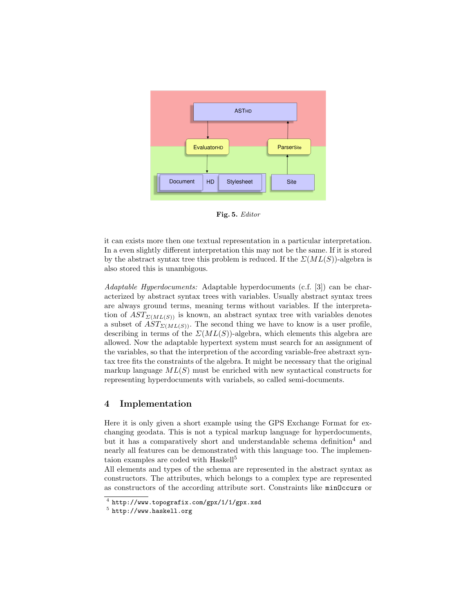

Fig. 5. Editor

it can exists more then one textual representation in a particular interpretation. In a even slightly different interpretation this may not be the same. If it is stored by the abstract syntax tree this problem is reduced. If the  $\mathcal{Z}(ML(S))$ -algebra is also stored this is unambigous.

Adaptable Hyperdocuments: Adaptable hyperdocuments (c.f. [3]) can be characterized by abstract syntax trees with variables. Usually abstract syntax trees are always ground terms, meaning terms without variables. If the interpretation of  $AST_{\Sigma(ML(S))}$  is known, an abstract syntax tree with variables denotes a subset of  $AST_{\Sigma(ML(S))}$ . The second thing we have to know is a user profile, describing in terms of the  $\mathcal{Z}(ML(S))$ -algebra, which elements this algebra are allowed. Now the adaptable hypertext system must search for an assignment of the variables, so that the interpretion of the according variable-free abstraxt syntax tree fits the constraints of the algebra. It might be necessary that the original markup language  $ML(S)$  must be enriched with new syntactical constructs for representing hyperdocuments with variabels, so called semi-documents.

#### 4 Implementation

Here it is only given a short example using the GPS Exchange Format for exchanging geodata. This is not a typical markup language for hyperdocuments, but it has a comparatively short and understandable schema definition<sup>4</sup> and nearly all features can be demonstrated with this language too. The implementaion examples are coded with Haskell<sup>5</sup>

All elements and types of the schema are represented in the abstract syntax as constructors. The attributes, which belongs to a complex type are represented as constructors of the according attribute sort. Constraints like minOccurs or

<sup>4</sup> http://www.topografix.com/gpx/1/1/gpx.xsd

 $^5$  http://www.haskell.org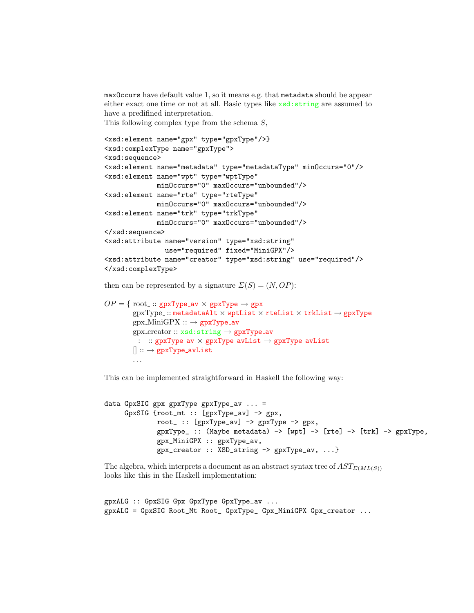maxOccurs have default value 1, so it means e.g. that metadata should be appear either exact one time or not at all. Basic types like xsd:string are assumed to have a predifined interpretation.

This following complex type from the schema  $S$ ,

```
<xsd:element name="gpx" type="gpxType"/>}
<xsd:complexType name="gpxType">
<xsd:sequence>
<xsd:element name="metadata" type="metadataType" minOccurs="0"/>
<xsd:element name="wpt" type="wptType"
            minOccurs="0" maxOccurs="unbounded"/>
<xsd:element name="rte" type="rteType"
            minOccurs="0" maxOccurs="unbounded"/>
<xsd:element name="trk" type="trkType"
            minOccurs="0" maxOccurs="unbounded"/>
</xsd:sequence>
<xsd:attribute name="version" type="xsd:string"
               use="required" fixed="MiniGPX"/>
<xsd:attribute name="creator" type="xsd:string" use="required"/>
</xsd:complexType>
```
then can be represented by a signature  $\Sigma(S) = (N, OP)$ :

```
OP = \{ root:: gpxType_av \times gpxType \rightarrow gpx
          gpxType:: metadataAlt \times wptList \times rteList \times trkList \rightarrow gpxType
          gpx MiniGPX :: \rightarrow gpxType_av
          gpx creator :: xsd:string → gpxType av
          \therefore: :: gpxType_av \times gpxType_avList \rightarrow gpxType_avList
          [] :: \rightarrow gpxType_avList
          . . .
```
This can be implemented straightforward in Haskell the following way:

```
data GpxSIG gpx gpxType gpxType_av ... =
     GpxSIG {root_mt :: [gpxType_av] -> gpx,
            root_ :: [gpxType_av] -> gpxType -& gpx,
             gpxType :: (Maybe metadata) -> [wpt] -> [rte] -> [trk] -> gpxType,
             gpx_MiniGPX :: gpxType_av,
             gpx_creator :: XSD_string -> gpxType_av, ...}
```
The algebra, which interprets a document as an abstract syntax tree of  $AST_{\Sigma(ML(S))}$ looks like this in the Haskell implementation:

```
gpxALG :: GpxSIG Gpx GpxType GpxType_av ...
gpxALG = GpxSIG Root_Mt Root_ GpxType_ Gpx_MiniGPX Gpx_creator ...
```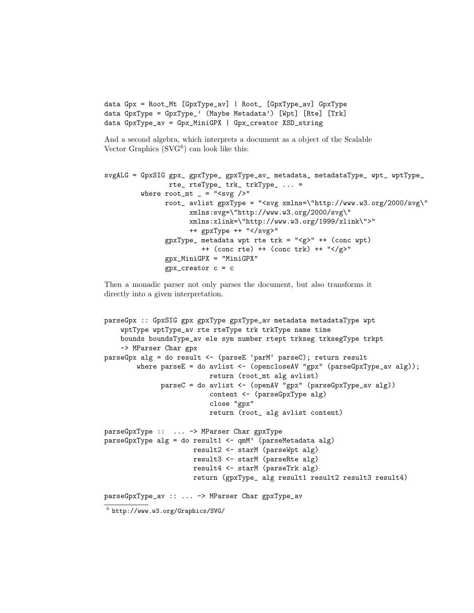```
data Gpx = Root_Mt [GpxType_av] | Root_ [GpxType_av] GpxType
data GpxType = GpxType_' (Maybe Metadata') [Wpt] [Rte] [Trk]
data GpxType_av = Gpx_MiniGPX | Gpx_creator XSD_string
```
And a second algebra, which interprets a document as a object of the Scalable Vector Graphics  $(SVG<sup>6</sup>)$  can look like this:

```
svgALG = GpxSIG gpx_ gpxType_ gpxType_av_ metadata_ metadataType_ wpt_ wptType_
                rte_ rteType_ trk_ trkType_ ... =
         where root_mt = "<svg />'root_ avlist gpxType = "<svg xmlns=\"http://www.w3.org/2000/svg\"
                     xmlns:svg=\"http://www.w3.org/2000/svg\"
                     xmlns:xlink=\"http://www.w3.org/1999/xlink\">"
                     ++ gpxType ++ "</svg>"
               gpxType_ metadata wpt rte trk = "<g>" ++ (conc wpt)
                        ++ (conc rte) ++ (conc trk) ++ "</g>"
               gpx_MiniGPX = "MiniGPX"
               gpx\_creation c = c
```
Then a monadic parser not only parses the document, but also transforms it directly into a given interpretation.

```
parseGpx :: GpxSIG gpx gpxType gpxType_av metadata metadataType wpt
    wptType wptType_av rte rteType trk trkType name time
    bounds boundsType_av ele sym number rtept trkseg trksegType trkpt
    -> MParser Char gpx
parseGpx alg = do result <- (parseE 'parM' parseC); return result
        where parseE = do avlist <- (opencloseAV "gpx" (parseGpxType_av alg));
                          return (root_mt alg avlist)
              parseC = do avlist <- (openAV "gpx" (parseGpxType_av alg))
                          content <- (parseGpxType alg)
                          close "gpx"
                          return (root_ alg avlist content)
parseGpxType :: ... -> MParser Char gpxType
parseGpxType alg = do result1 <- qmM' (parseMetadata alg)
                      result2 <- starM (parseWpt alg)
                     result3 <- starM (parseRte alg)
                      result4 <- starM (parseTrk alg)
                      return (gpxType_ alg result1 result2 result3 result4)
parseGpxType_av :: ... -> MParser Char gpxType_av
```

```
^6 http://www.w3.org/Graphics/SVG/
```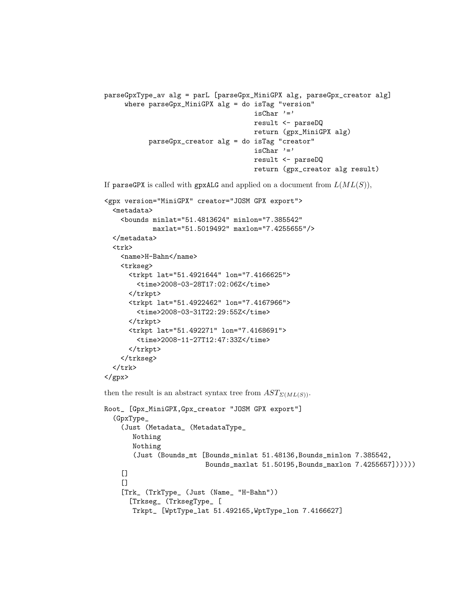```
parseGpxType_av alg = parL [parseGpx_MiniGPX alg, parseGpx_creator alg]
     where parseGpx_MiniGPX alg = do isTag "version"
                                     isChar '='
                                     result <- parseDQ
                                     return (gpx_MiniGPX alg)
           parseGpx_creator alg = do isTag "creator"
                                     isChar '='result <- parseDQ
                                     return (gpx_creator alg result)
```
If parseGPX is called with gpxALG and applied on a document from  $L(ML(S)),$ 

```
<gpx version="MiniGPX" creator="JOSM GPX export">
  <metadata>
    <bounds minlat="51.4813624" minlon="7.385542"
            maxlat="51.5019492" maxlon="7.4255655"/>
  </metadata>
  <trk>
    <name>H-Bahn</name>
    <trkseg>
      <trkpt lat="51.4921644" lon="7.4166625">
        <time>2008-03-28T17:02:06Z</time>
      </trkpt>
      <trkpt lat="51.4922462" lon="7.4167966">
        <time>2008-03-31T22:29:55Z</time>
      </trkpt>
      <trkpt lat="51.492271" lon="7.4168691">
        <time>2008-11-27T12:47:33Z</time>
      </trkpt>
    </trkseg>
  </trk>
</gpx>
then the result is an abstract syntax tree from AST_{\Sigma(ML(S))}.
Root_ [Gpx_MiniGPX,Gpx_creator "JOSM GPX export"]
  (GpxType_
    (Just (Metadata_ (MetadataType_
```

```
Nothing
  Nothing
   (Just (Bounds_mt [Bounds_minlat 51.48136,Bounds_minlon 7.385542,
                     Bounds_maxlat 51.50195,Bounds_maxlon 7.4255657])))))
[\lceil]
[Trk_ (TrkType_ (Just (Name_ "H-Bahn"))
  [Trkseg_ (TrksegType_ [
  Trkpt_ [WptType_lat 51.492165,WptType_lon 7.4166627]
```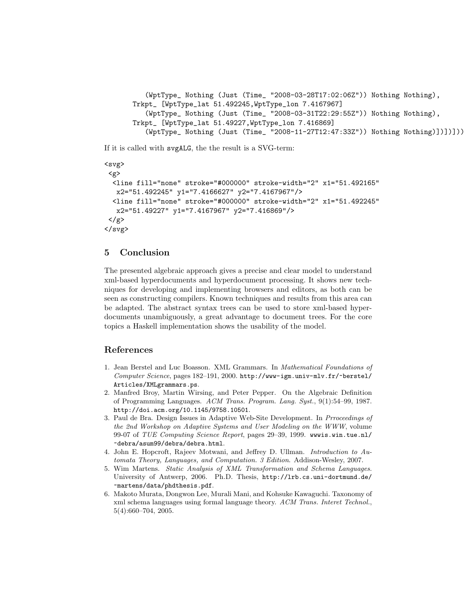```
(WptType_ Nothing (Just (Time_ "2008-03-28T17:02:06Z")) Nothing Nothing),
Trkpt_ [WptType_lat 51.492245,WptType_lon 7.4167967]
   (WptType_ Nothing (Just (Time_ "2008-03-31T22:29:55Z")) Nothing Nothing),
Trkpt_ [WptType_lat 51.49227,WptType_lon 7.416869]
   (WptType_ Nothing (Just (Time_ "2008-11-27T12:47:33Z")) Nothing Nothing)])])]))
```
If it is called with svgALG, the the result is a SVG-term:

```
<svg>
 <g>
  <line fill="none" stroke="#000000" stroke-width="2" x1="51.492165"
   x2="51.492245" y1="7.4166627" y2="7.4167967"/>
  <line fill="none" stroke="#000000" stroke-width="2" x1="51.492245"
   x2="51.49227" y1="7.4167967" y2="7.416869"/>
\langle/g>
\langlesvg>
```
## 5 Conclusion

The presented algebraic approach gives a precise and clear model to understand xml-based hyperdocuments and hyperdocument processing. It shows new techniques for developing and implementing browsers and editors, as both can be seen as constructing compilers. Known techniques and results from this area can be adapted. The abstract syntax trees can be used to store xml-based hyperdocuments unambiguously, a great advantage to document trees. For the core topics a Haskell implementation shows the usability of the model.

## References

- 1. Jean Berstel and Luc Boasson. XML Grammars. In Mathematical Foundations of Computer Science, pages 182–191, 2000. http://www-igm.univ-mlv.fr/~berstel/ Articles/XMLgrammars.ps.
- 2. Manfred Broy, Martin Wirsing, and Peter Pepper. On the Algebraic Definition of Programming Languages. ACM Trans. Program. Lang. Syst., 9(1):54–99, 1987. http://doi.acm.org/10.1145/9758.10501.
- 3. Paul de Bra. Design Issues in Adaptive Web-Site Development. In Prroceedings of the 2nd Workshop on Adaptive Systems and User Modeling on the WWW, volume 99-07 of TUE Computing Science Report, pages 29–39, 1999. wwwis.win.tue.nl/ ~debra/asum99/debra/debra.html.
- 4. John E. Hopcroft, Rajeev Motwani, and Jeffrey D. Ullman. Introduction to Automata Theory, Languages, and Computation. 3 Edition. Addison-Wesley, 2007.
- 5. Wim Martens. Static Analysis of XML Transformation and Schema Languages. University of Antwerp, 2006. Ph.D. Thesis, http://lrb.cs.uni-dortmund.de/ ~martens/data/phdthesis.pdf.
- 6. Makoto Murata, Dongwon Lee, Murali Mani, and Kohsuke Kawaguchi. Taxonomy of xml schema languages using formal language theory. ACM Trans. Interet Technol., 5(4):660–704, 2005.